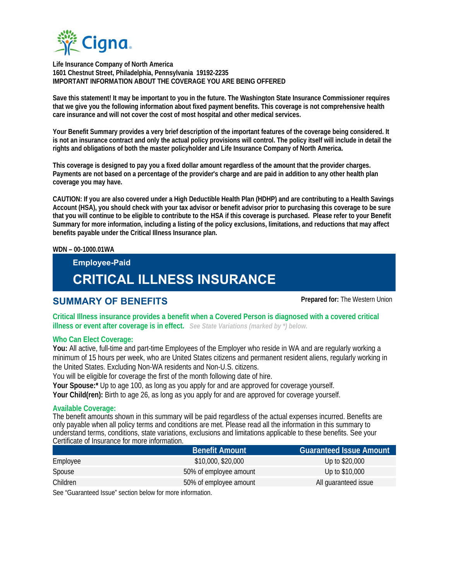

 **Life Insurance Company of North America 1601 Chestnut Street, Philadelphia, Pennsylvania 19192-2235 IMPORTANT INFORMATION ABOUT THE COVERAGE YOU ARE BEING OFFERED** 

**Save this statement! It may be important to you in the future. The Washington State Insurance Commissioner requires that we give you the following information about fixed payment benefits. This coverage is not comprehensive health care insurance and will not cover the cost of most hospital and other medical services.** 

**Your Benefit Summary provides a very brief description of the important features of the coverage being considered. It is not an insurance contract and only the actual policy provisions will control. The policy itself will include in detail the rights and obligations of both the master policyholder and Life Insurance Company of North America.** 

**This coverage is designed to pay you a fixed dollar amount regardless of the amount that the provider charges. Payments are not based on a percentage of the provider's charge and are paid in addition to any other health plan coverage you may have.** 

**CAUTION: If you are also covered under a High Deductible Health Plan (HDHP) and are contributing to a Health Savings Account (HSA), you should check with your tax advisor or benefit advisor prior to purchasing this coverage to be sure that you will continue to be eligible to contribute to the HSA if this coverage is purchased. Please refer to your Benefit Summary for more information, including a listing of the policy exclusions, limitations, and reductions that may affect benefits payable under the Critical Illness Insurance plan.** 

#### **WDN – 00-1000.01WA**

# **Employee-Paid CRITICAL ILLNESS INSURANCE**

## **SUMMARY OF BENEFITS Prepared for:** The Western Union

**Critical Illness insurance provides a benefit when a Covered Person is diagnosed with a covered critical illness or event after coverage is in effect.** *See State Variations (marked by \*) below.*

#### **Who Can Elect Coverage:**

**You:** All active, full-time and part-time Employees of the Employer who reside in WA and are regularly working a minimum of 15 hours per week, who are United States citizens and permanent resident aliens, regularly working in the United States. Excluding Non-WA residents and Non-U.S. citizens.

You will be eligible for coverage the first of the month following date of hire.

**Your Spouse:\*** Up to age 100, as long as you apply for and are approved for coverage yourself.

**Your Child(ren):** Birth to age 26, as long as you apply for and are approved for coverage yourself.

#### **Available Coverage:**

The benefit amounts shown in this summary will be paid regardless of the actual expenses incurred. Benefits are only payable when all policy terms and conditions are met. Please read all the information in this summary to understand terms, conditions, state variations, exclusions and limitations applicable to these benefits. See your Certificate of Insurance for more information.

|          | <b>Benefit Amount</b>  | <b>Guaranteed Issue Amount</b> |
|----------|------------------------|--------------------------------|
| Employee | \$10,000, \$20,000     | Up to \$20,000                 |
| Spouse   | 50% of employee amount | Up to \$10,000                 |
| Children | 50% of employee amount | All quaranteed issue           |
|          |                        |                                |

See "Guaranteed Issue" section below for more information.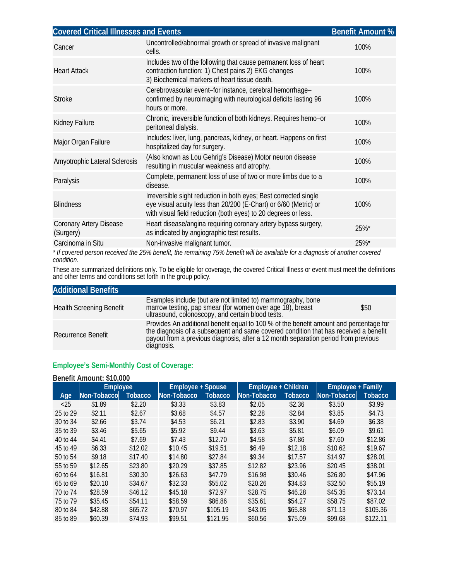| <b>Covered Critical Illnesses and Events</b><br><b>Benefit Amount %</b>                                                      |                                                                                                                                                                                                        |      |  |  |  |  |
|------------------------------------------------------------------------------------------------------------------------------|--------------------------------------------------------------------------------------------------------------------------------------------------------------------------------------------------------|------|--|--|--|--|
| Cancer                                                                                                                       | Uncontrolled/abnormal growth or spread of invasive malignant<br>cells.                                                                                                                                 | 100% |  |  |  |  |
| <b>Heart Attack</b>                                                                                                          | Includes two of the following that cause permanent loss of heart<br>contraction function: 1) Chest pains 2) EKG changes<br>3) Biochemical markers of heart tissue death.                               | 100% |  |  |  |  |
| <b>Stroke</b>                                                                                                                | Cerebrovascular event-for instance, cerebral hemorrhage-<br>confirmed by neuroimaging with neurological deficits lasting 96<br>hours or more.                                                          | 100% |  |  |  |  |
| Kidney Failure                                                                                                               | Chronic, irreversible function of both kidneys. Requires hemo-or<br>peritoneal dialysis.                                                                                                               | 100% |  |  |  |  |
| Major Organ Failure                                                                                                          | Includes: liver, lung, pancreas, kidney, or heart. Happens on first<br>hospitalized day for surgery.                                                                                                   | 100% |  |  |  |  |
| Amyotrophic Lateral Sclerosis                                                                                                | (Also known as Lou Gehrig's Disease) Motor neuron disease<br>resulting in muscular weakness and atrophy.                                                                                               | 100% |  |  |  |  |
| Paralysis                                                                                                                    | Complete, permanent loss of use of two or more limbs due to a<br>disease.                                                                                                                              | 100% |  |  |  |  |
| <b>Blindness</b>                                                                                                             | Irreversible sight reduction in both eyes; Best corrected single<br>eye visual acuity less than 20/200 (E-Chart) or 6/60 (Metric) or<br>with visual field reduction (both eyes) to 20 degrees or less. | 100% |  |  |  |  |
| Coronary Artery Disease<br>(Surgery)                                                                                         | Heart disease/angina requiring coronary artery bypass surgery,<br>as indicated by angiographic test results.                                                                                           | 25%* |  |  |  |  |
| Carcinoma in Situ                                                                                                            | Non-invasive malignant tumor.                                                                                                                                                                          | 25%* |  |  |  |  |
| * If covered person received the 25% benefit, the remaining 75% benefit will be available for a diagnosis of another covered |                                                                                                                                                                                                        |      |  |  |  |  |

*\* If covered person received the 25% benefit, the remaining 75% benefit will be available for a diagnosis of another covered condition.*

These are summarized definitions only. To be eligible for coverage, the covered Critical Illness or event must meet the definitions and other terms and conditions set forth in the group policy.

| <b>Additional Benefits</b>      |                                                                                                                                                                                                                                                                                    |      |
|---------------------------------|------------------------------------------------------------------------------------------------------------------------------------------------------------------------------------------------------------------------------------------------------------------------------------|------|
| <b>Health Screening Benefit</b> | Examples include (but are not limited to) mammography, bone<br>marrow testing, pap smear (for women over age 18), breast<br>ultrasound, colonoscopy, and certain blood tests.                                                                                                      | \$50 |
| Recurrence Benefit              | Provides An additional benefit equal to 100 % of the benefit amount and percentage for<br>the diagnosis of a subsequent and same covered condition that has received a benefit<br>payout from a previous diagnosis, after a 12 month separation period from previous<br>diagnosis. |      |

# **Employee's Semi-Monthly Cost of Coverage:**

### **Benefit Amount: \$10,000**

|          | Employee            |         | <b>Employee + Spouse</b> |          | Employee + Children |         | Employee + Family |          |
|----------|---------------------|---------|--------------------------|----------|---------------------|---------|-------------------|----------|
| Age      | <b>Non-Tobaccol</b> | Tobacco | Non-Tobacco              | Tobacco  | Non-Tobacco         | Tobacco | Non-Tobacco       | Tobacco  |
| $<$ 25   | \$1.89              | \$2.20  | \$3.33                   | \$3.83   | \$2.05              | \$2.36  | \$3.50            | \$3.99   |
| 25 to 29 | \$2.11              | \$2.67  | \$3.68                   | \$4.57   | \$2.28              | \$2.84  | \$3.85            | \$4.73   |
| 30 to 34 | \$2.66              | \$3.74  | \$4.53                   | \$6.21   | \$2.83              | \$3.90  | \$4.69            | \$6.38   |
| 35 to 39 | \$3.46              | \$5.65  | \$5.92                   | \$9.44   | \$3.63              | \$5.81  | \$6.09            | \$9.61   |
| 40 to 44 | \$4.41              | \$7.69  | \$7.43                   | \$12.70  | \$4.58              | \$7.86  | \$7.60            | \$12.86  |
| 45 to 49 | \$6.33              | \$12.02 | \$10.45                  | \$19.51  | \$6.49              | \$12.18 | \$10.62           | \$19.67  |
| 50 to 54 | \$9.18              | \$17.40 | \$14.80                  | \$27.84  | \$9.34              | \$17.57 | \$14.97           | \$28.01  |
| 55 to 59 | \$12.65             | \$23.80 | \$20.29                  | \$37.85  | \$12.82             | \$23.96 | \$20.45           | \$38.01  |
| 60 to 64 | \$16.81             | \$30.30 | \$26.63                  | \$47.79  | \$16.98             | \$30.46 | \$26.80           | \$47.96  |
| 65 to 69 | \$20.10             | \$34.67 | \$32.33                  | \$55.02  | \$20.26             | \$34.83 | \$32.50           | \$55.19  |
| 70 to 74 | \$28.59             | \$46.12 | \$45.18                  | \$72.97  | \$28.75             | \$46.28 | \$45.35           | \$73.14  |
| 75 to 79 | \$35.45             | \$54.11 | \$58.59                  | \$86.86  | \$35.61             | \$54.27 | \$58.75           | \$87.02  |
| 80 to 84 | \$42.88             | \$65.72 | \$70.97                  | \$105.19 | \$43.05             | \$65.88 | \$71.13           | \$105.36 |
| 85 to 89 | \$60.39             | \$74.93 | \$99.51                  | \$121.95 | \$60.56             | \$75.09 | \$99.68           | \$122.11 |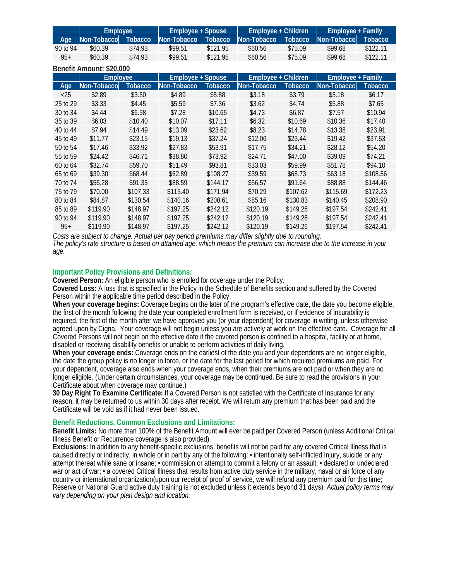|          | <b>Employee</b>     |         | Employee + Spouse |                | Employee + Children |                | Emplovee + Family'  |          |
|----------|---------------------|---------|-------------------|----------------|---------------------|----------------|---------------------|----------|
| Age      | <b>Non-Tobaccol</b> | Tobacco | Non-Tobaccol      | <b>Tobacco</b> | Non-Tobacco         | <b>Tobacco</b> | <b>Non-Tobaccol</b> | Tobacco  |
| 90 to 94 | \$60.39             | \$74.93 | \$99.51           | \$121.95       | \$60.56             | \$75.09        | \$99.68             | \$122.11 |
| $95+$    | \$60.39             | \$74.93 | \$99.51           | \$121.95       | \$60.56             | \$75.09        | \$99.68             | \$122.11 |

| Benefit Amount: \$20,000 |                 |          |                          |          |                     |                |                          |          |
|--------------------------|-----------------|----------|--------------------------|----------|---------------------|----------------|--------------------------|----------|
|                          | <b>Employee</b> |          | <b>Employee + Spouse</b> |          | Employee + Children |                | <b>Employee + Family</b> |          |
| Age                      | Non-Tobacco     | Tobacco  | Non-Tobacco              | Tobacco  | Non-Tobacco         | <b>Tobacco</b> | Non-Tobacco              | Tobacco  |
| $<$ 25                   | \$2.89          | \$3.50   | \$4.89                   | \$5.88   | \$3.18              | \$3.79         | \$5.18                   | \$6.17   |
| 25 to 29                 | \$3.33          | \$4.45   | \$5.59                   | \$7.36   | \$3.62              | \$4.74         | \$5.88                   | \$7.65   |
| 30 to 34                 | \$4.44          | \$6.58   | \$7.28                   | \$10.65  | \$4.73              | \$6.87         | \$7.57                   | \$10.94  |
| 35 to 39                 | \$6.03          | \$10.40  | \$10.07                  | \$17.11  | \$6.32              | \$10.69        | \$10.36                  | \$17.40  |
| 40 to 44                 | \$7.94          | \$14.49  | \$13.09                  | \$23.62  | \$8.23              | \$14.78        | \$13.38                  | \$23.91  |
| 45 to 49                 | \$11.77         | \$23.15  | \$19.13                  | \$37.24  | \$12.06             | \$23.44        | \$19.42                  | \$37.53  |
| 50 to 54                 | \$17.46         | \$33.92  | \$27.83                  | \$53.91  | \$17.75             | \$34.21        | \$28.12                  | \$54.20  |
| 55 to 59                 | \$24.42         | \$46.71  | \$38.80                  | \$73.92  | \$24.71             | \$47.00        | \$39.09                  | \$74.21  |
| 60 to 64                 | \$32.74         | \$59.70  | \$51.49                  | \$93.81  | \$33.03             | \$59.99        | \$51.78                  | \$94.10  |
| 65 to 69                 | \$39.30         | \$68.44  | \$62.89                  | \$108.27 | \$39.59             | \$68.73        | \$63.18                  | \$108.56 |
| 70 to 74                 | \$56.28         | \$91.35  | \$88.59                  | \$144.17 | \$56.57             | \$91.64        | \$88.88                  | \$144.46 |
| 75 to 79                 | \$70.00         | \$107.33 | \$115.40                 | \$171.94 | \$70.29             | \$107.62       | \$115.69                 | \$172.23 |
| 80 to 84                 | \$84.87         | \$130.54 | \$140.16                 | \$208.61 | \$85.16             | \$130.83       | \$140.45                 | \$208.90 |
| 85 to 89                 | \$119.90        | \$148.97 | \$197.25                 | \$242.12 | \$120.19            | \$149.26       | \$197.54                 | \$242.41 |
| 90 to 94                 | \$119.90        | \$148.97 | \$197.25                 | \$242.12 | \$120.19            | \$149.26       | \$197.54                 | \$242.41 |
| $95+$                    | \$119.90        | \$148.97 | \$197.25                 | \$242.12 | \$120.19            | \$149.26       | \$197.54                 | \$242.41 |

Costs are subject to change. Actual per pay period premiums may differ slightly due to rounding.<br>The policy's rate structure is based on attained age, which means the premium can increase due to the increase in your *age.* 

#### **Important Policy Provisions and Definitions:**

**Covered Person:** An eligible person who is enrolled for coverage under the Policy.

**Covered Loss:** A loss that is specified in the Policy in the Schedule of Benefits section and suffered by the Covered Person within the applicable time period described in the Policy.

**When your coverage begins:** Coverage begins on the later of the program's effective date, the date you become eligible, the first of the month following the date your completed enrollment form is received, or if evidence of insurability is required, the first of the month after we have approved you (or your dependent) for coverage in writing, unless otherwise agreed upon by Cigna. Your coverage will not begin unless you are actively at work on the effective date. Coverage for all Covered Persons will not begin on the effective date if the covered person is confined to a hospital, facility or at home, disabled or receiving disability benefits or unable to perform activities of daily living.

**When your coverage ends:** Coverage ends on the earliest of the date you and your dependents are no longer eligible, the date the group policy is no longer in force, or the date for the last period for which required premiums are paid. For your dependent, coverage also ends when your coverage ends, when their premiums are not paid or when they are no longer eligible. (Under certain circumstances, your coverage may be continued. Be sure to read the provisions in your Certificate about when coverage may continue.)

**30 Day Right To Examine Certificate:** If a Covered Person is not satisfied with the Certificate of Insurance for any reason, it may be returned to us within 30 days after receipt. We will return any premium that has been paid and the Certificate will be void as if it had never been issued.

#### **Benefit Reductions, Common Exclusions and Limitations:**

**Benefit Limits:** No more than 100% of the Benefit Amount will ever be paid per Covered Person (unless Additional Critical Illness Benefit or Recurrence coverage is also provided).

**Exclusions:** In addition to any benefit-specific exclusions, benefits will not be paid for any covered Critical Illness that is caused directly or indirectly, in whole or in part by any of the following: • intentionally self-inflicted Injury, suicide or any attempt thereat while sane or insane; • commission or attempt to commit a felony or an assault; • declared or undeclared war or act of war; • a covered Critical Illness that results from active duty service in the military, naval or air force of any country or international organization(upon our receipt of proof of service, we will refund any premium paid for this time; Reserve or National Guard active duty training is not excluded unless it extends beyond 31 days). *Actual policy terms may vary depending on your plan design and location.*